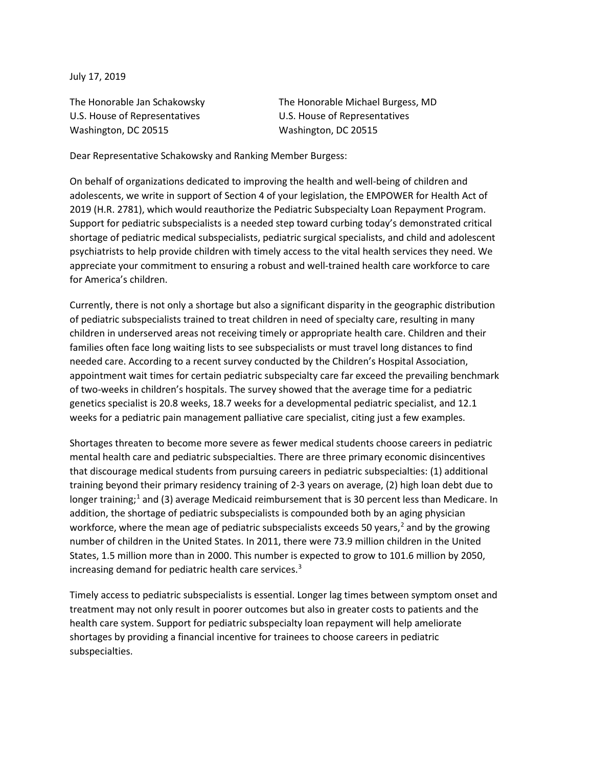July 17, 2019

U.S. House of Representatives U.S. House of Representatives Washington, DC 20515 Washington, DC 20515

The Honorable Jan Schakowsky The Honorable Michael Burgess, MD

Dear Representative Schakowsky and Ranking Member Burgess:

On behalf of organizations dedicated to improving the health and well-being of children and adolescents, we write in support of Section 4 of your legislation, the EMPOWER for Health Act of 2019 (H.R. 2781), which would reauthorize the Pediatric Subspecialty Loan Repayment Program. Support for pediatric subspecialists is a needed step toward curbing today's demonstrated critical shortage of pediatric medical subspecialists, pediatric surgical specialists, and child and adolescent psychiatrists to help provide children with timely access to the vital health services they need. We appreciate your commitment to ensuring a robust and well-trained health care workforce to care for America's children.

Currently, there is not only a shortage but also a significant disparity in the geographic distribution of pediatric subspecialists trained to treat children in need of specialty care, resulting in many children in underserved areas not receiving timely or appropriate health care. Children and their families often face long waiting lists to see subspecialists or must travel long distances to find needed care. According to a recent survey conducted by the Children's Hospital Association, appointment wait times for certain pediatric subspecialty care far exceed the prevailing benchmark of two-weeks in children's hospitals. The survey showed that the average time for a pediatric genetics specialist is 20.8 weeks, 18.7 weeks for a developmental pediatric specialist, and 12.1 weeks for a pediatric pain management palliative care specialist, citing just a few examples.

Shortages threaten to become more severe as fewer medical students choose careers in pediatric mental health care and pediatric subspecialties. There are three primary economic disincentives that discourage medical students from pursuing careers in pediatric subspecialties: (1) additional training beyond their primary residency training of 2-3 years on average, (2) high loan debt due to longer training;<sup>[1](#page-2-0)</sup> and (3) average Medicaid reimbursement that is 30 percent less than Medicare. In addition, the shortage of pediatric subspecialists is compounded both by an aging physician workforce, where the mean age of pediatric subspecialists exceeds 50 years, $<sup>2</sup>$  $<sup>2</sup>$  $<sup>2</sup>$  and by the growing</sup> number of children in the United States. In 2011, there were 73.9 million children in the United States, 1.5 million more than in 2000. This number is expected to grow to 101.6 million by 2050, increasing demand for pediatric health care services.<sup>[3](#page-2-2)</sup>

Timely access to pediatric subspecialists is essential. Longer lag times between symptom onset and treatment may not only result in poorer outcomes but also in greater costs to patients and the health care system. Support for pediatric subspecialty loan repayment will help ameliorate shortages by providing a financial incentive for trainees to choose careers in pediatric subspecialties.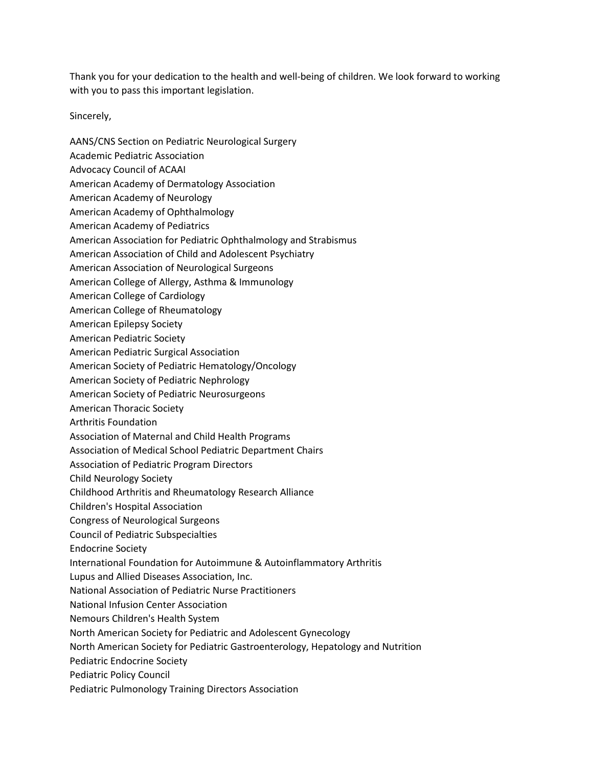Thank you for your dedication to the health and well-being of children. We look forward to working with you to pass this important legislation.

Sincerely,

- AANS/CNS Section on Pediatric Neurological Surgery
- Academic Pediatric Association
- Advocacy Council of ACAAI
- American Academy of Dermatology Association
- American Academy of Neurology
- American Academy of Ophthalmology
- American Academy of Pediatrics
- American Association for Pediatric Ophthalmology and Strabismus
- American Association of Child and Adolescent Psychiatry
- American Association of Neurological Surgeons
- American College of Allergy, Asthma & Immunology
- American College of Cardiology
- American College of Rheumatology
- American Epilepsy Society
- American Pediatric Society
- American Pediatric Surgical Association
- American Society of Pediatric Hematology/Oncology
- American Society of Pediatric Nephrology
- American Society of Pediatric Neurosurgeons
- American Thoracic Society
- Arthritis Foundation
- Association of Maternal and Child Health Programs
- Association of Medical School Pediatric Department Chairs
- Association of Pediatric Program Directors
- Child Neurology Society
- Childhood Arthritis and Rheumatology Research Alliance
- Children's Hospital Association
- Congress of Neurological Surgeons
- Council of Pediatric Subspecialties
- Endocrine Society
- International Foundation for Autoimmune & Autoinflammatory Arthritis
- Lupus and Allied Diseases Association, Inc.
- National Association of Pediatric Nurse Practitioners
- National Infusion Center Association
- Nemours Children's Health System
- North American Society for Pediatric and Adolescent Gynecology
- North American Society for Pediatric Gastroenterology, Hepatology and Nutrition
- Pediatric Endocrine Society
- Pediatric Policy Council
- Pediatric Pulmonology Training Directors Association